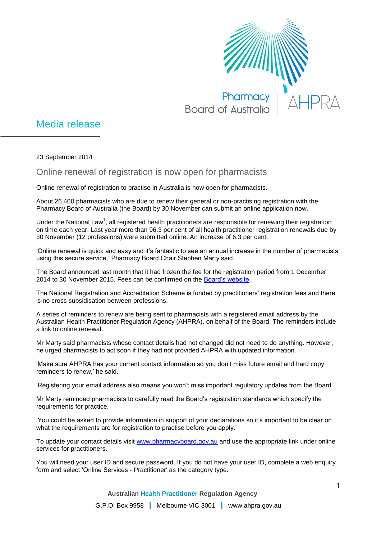

## Media release

23 September 2014

## Online renewal of registration is now open for pharmacists

Online renewal of registration to practise in Australia is now open for pharmacists.

About 26,400 pharmacists who are due to renew their general or non-practising registration with the Pharmacy Board of Australia (the Board) by 30 November can submit an online application now.

Under the National Law<sup>1</sup>, all registered health practitioners are responsible for renewing their registration on time each year. Last year more than 96.3 per cent of all health practitioner registration renewals due by 30 November (12 professions) were submitted online. An increase of 6.3 per cent.

'Online renewal is quick and easy and it's fantastic to see an annual increase in the number of pharmacists using this secure service,' Pharmacy Board Chair Stephen Marty said.

The Board announced last month that it had frozen the fee for the registration period from 1 December 2014 to 30 November 2015. Fees can be confirmed on the [Board's website.](http://www.pharmacyboard.gov.au/)

The National Registration and Accreditation Scheme is funded by practitioners' registration fees and there is no cross subsidisation between professions.

A series of reminders to renew are being sent to pharmacists with a registered email address by the Australian Health Practitioner Regulation Agency (AHPRA), on behalf of the Board. The reminders include a link to online renewal.

Mr Marty said pharmacists whose contact details had not changed did not need to do anything. However, he urged pharmacists to act soon if they had not provided AHPRA with updated information.

'Make sure AHPRA has your current contact information so you don't miss future email and hard copy reminders to renew,' he said.

'Registering your email address also means you won't miss important regulatory updates from the Board.'

Mr Marty reminded pharmacists to carefully read the Board's registration standards which specify the requirements for practice.

'You could be asked to provide information in support of your declarations so it's important to be clear on what the requirements are for registration to practise before you apply.'

To update your contact details visit [www.pharmacyboard.gov.au](http://www.pharmacyboard.gov.au/) and use the appropriate link under online services for practitioners.

You will need your user ID and secure password. If you do not have your user ID, complete a web enquiry form and select 'Online Services - Practitioner' as the category type.

**Australian Health Practitioner Regulation Agency**